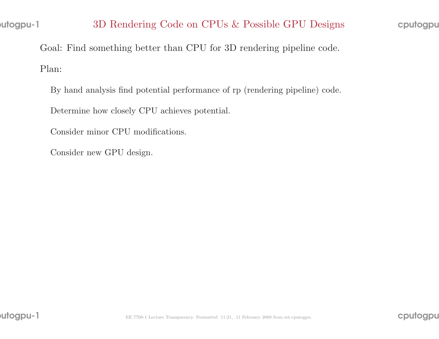Goal: Find something better than CPU for 3D rendering <sup>p</sup>ipeline code. Plan:

By hand analysis find potential performance of rp (rendering <sup>p</sup>ipeline) code.

Determine how closely CPU achieves potential.

Consider minor CPU modifications.

Consider new GPU design.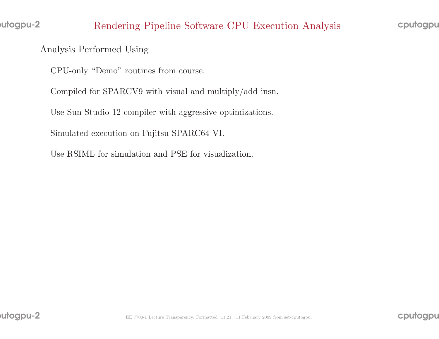## Analysis Performed Using

CPU-only "Demo" routines from course.

Compiled for SPARCV9 with visual and multiply/add insn.

Use Sun Studio <sup>12</sup> compiler with aggressive optimizations.

Simulated execution on Fujitsu SPARC64 VI.

Use RSIML for simulation and PSE for visualization.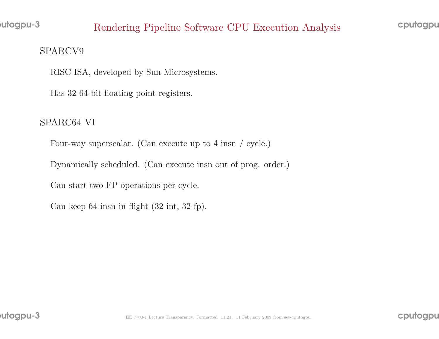utogpu-3

# Rendering Pipeline Software CPU Execution Analysis

### SPARCV9

RISC ISA, developed by Sun Microsystems.

Has <sup>32</sup> 64-bit floating point registers.

# SPARC64 VI

Four-way superscalar. (Can execute up to <sup>4</sup> insn / cycle.)

Dynamically scheduled. (Can execute insn out of prog. order.)

Can start two FP operations per cycle.

Can keep <sup>64</sup> insn in flight (32 int, <sup>32</sup> fp).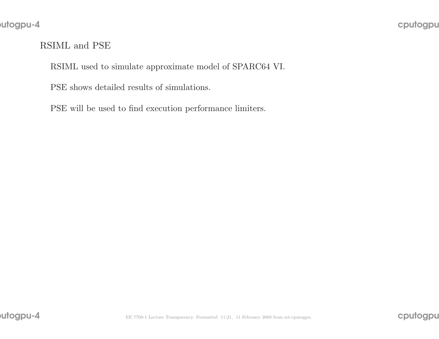## RSIML and PSE

RSIML used to simulate approximate model of SPARC64 VI.

PSE shows detailed results of simulations.

PSE will be used to find execution performance limiters.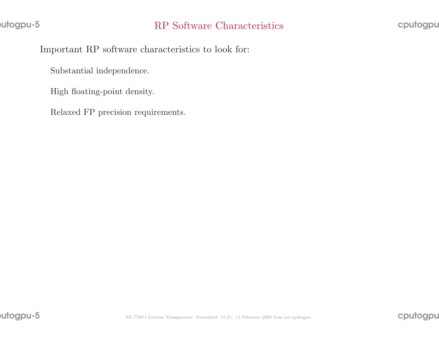Important RP software characteristics to look for:

Substantial independence.

High floating-point density.

Relaxed FP precision requirements.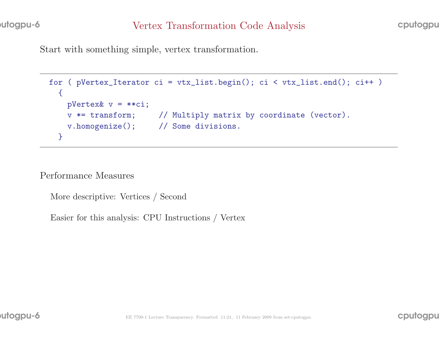Start with something simple, vertex transformation.

```
for ( pVertex_Iterator ci = vtx_list.begin(); ci < vtx_list.end(); ci++ )
\{pVertex& v = **ci;v *= transform; // Multiply matrix by coordinate (vector).
 v.homogenize(); // Some divisions.
}
```
Performance Measures

More descriptive: Vertices / Second

Easier for this analysis: CPU Instructions / Vertex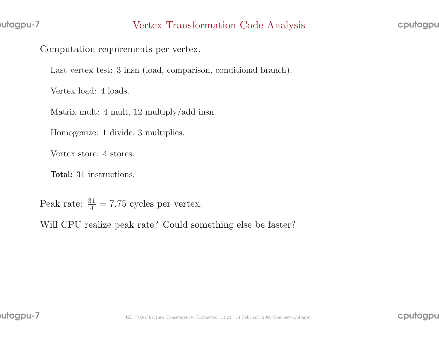Computation requirements per vertex.

Last vertex test: 3 insn (load, comparison, conditional branch).

Vertex load: <sup>4</sup> loads.

Matrix mult: <sup>4</sup> mult, <sup>12</sup> multiply/add insn.

Homogenize: <sup>1</sup> divide, <sup>3</sup> multiplies.

Vertex store: <sup>4</sup> stores.

Total: <sup>31</sup> instructions.

Peak rate:  $\frac{31}{4} = 7.75$  cycles per vertex.

Will CPU realize pea<sup>k</sup> rate? Could something else be faster?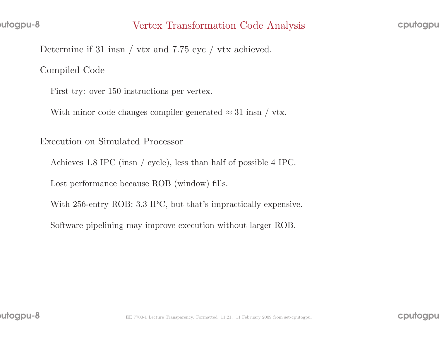Determine if <sup>31</sup> insn / vtx and 7.75 cyc / vtx achieved.

Compiled Code

First try: over <sup>150</sup> instructions per vertex.

With minor code changes compiler generated  $\approx 31$  insn / vtx.

Execution on Simulated Processor

Achieves 1.8 IPC (insn / cycle), less than half of possible <sup>4</sup> IPC.

Lost performance because ROB (window) fills.

With 256-entry ROB: 3.3 IPC, but that's impractically expensive.

Software <sup>p</sup>ipelining may improve execution without larger ROB.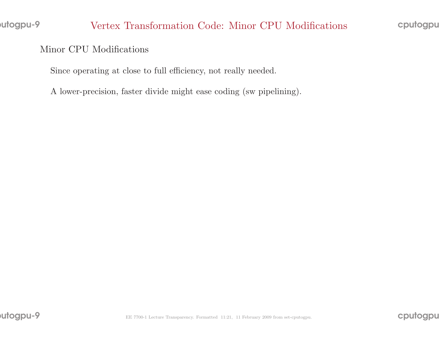cputogpu

#### Minor CPU Modifications

Since operating at close to full efficiency, not really needed.

<sup>A</sup> lower-precision, faster divide might ease coding (sw <sup>p</sup>ipelining).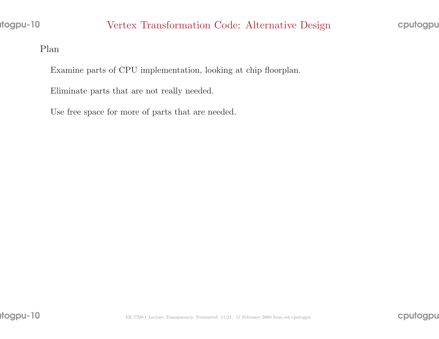Plan

Examine parts of CPU implementation, looking at chip floorplan.

Eliminate parts that are not really needed.

Use free space for more of parts that are needed.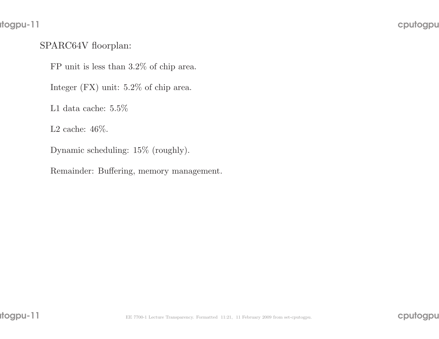# rtogpu-11

# SPARC64V floorplan:

FP unit is less than 3.2% of chip area.

Integer (FX) unit: 5.2% of chip area.

L1 data cache:  $5.5\%$ 

L2 cache: 46%.

Dynamic scheduling: 15% (roughly).

Remainder: Buffering, memory management.